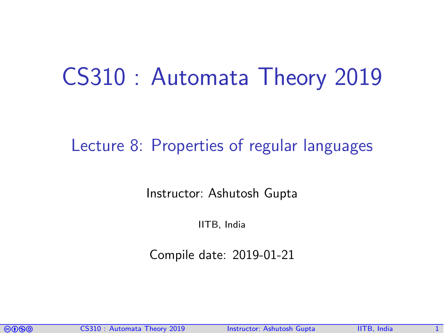# CS310 : Automata Theory 2019

#### Lecture 8: Properties of regular languages

Instructor: [Ashutosh Gupta](http://www.cse.iitb.ac.in/~akg/)

IITB, India

Compile date: 2019-01-21

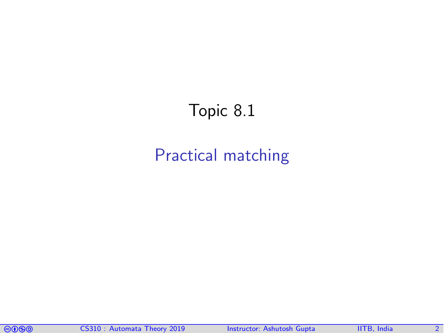## <span id="page-1-0"></span>Topic 8.1

### [Practical matching](#page-1-0)

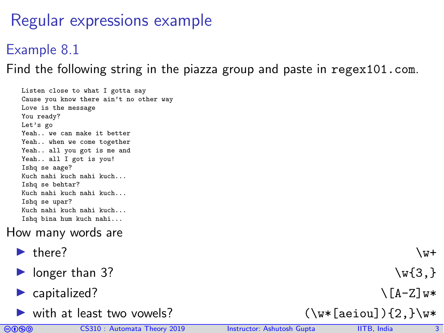## Regular expressions example

#### Example 8.1

Find the following string in the piazza group and paste in <regex101.com>.

Listen close to what I gotta say Cause you know there ain't no other way Love is the message You ready? Let's go Yeah.. we can make it better Yeah.. when we come together Yeah.. all you got is me and Yeah.. all I got is you! Ishq se aage? Kuch nahi kuch nahi kuch... Ishq se behtar? Kuch nahi kuch nahi kuch... Ishq se upar? Kuch nahi kuch nahi kuch... Ishq bina hum kuch nahi...

#### How many words are

- $\blacktriangleright$  there?  $\forall$  w+
- $\triangleright$  longer than 3?  $\forall x \{3, \}$
- $\triangleright$  capitalized?  $\setminus$  [A-Z]w\*
- ▶ with at least two vowels? (\w\*[aeiou]){2,}\w\*

- 
- 
- 

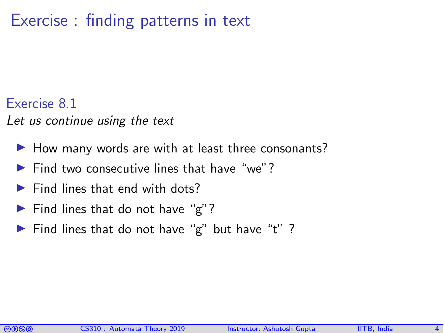### Exercise : finding patterns in text

#### Exercise 8.1

Let us continue using the text

- $\blacktriangleright$  How many words are with at least three consonants?
- $\blacktriangleright$  Find two consecutive lines that have "we"?
- $\blacktriangleright$  Find lines that end with dots?
- $\blacktriangleright$  Find lines that do not have "g"?
- Find lines that do not have "g" but have "t" ?

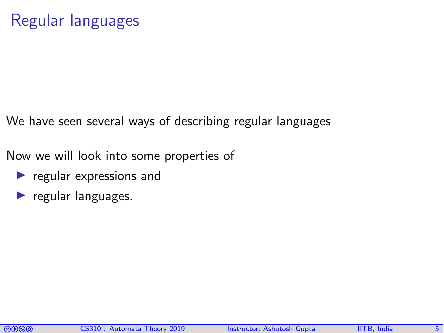We have seen several ways of describing regular languages

Now we will look into some properties of

- $\blacktriangleright$  regular expressions and
- $\blacktriangleright$  regular languages.

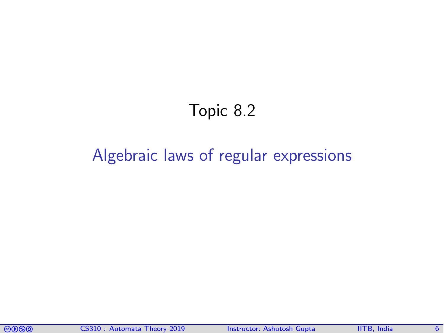## Topic 8.2

#### <span id="page-5-0"></span>[Algebraic laws of regular expressions](#page-5-0)

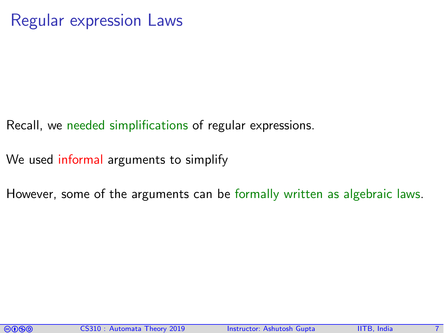- Recall, we needed simplifications of regular expressions.
- We used informal arguments to simplify
- However, some of the arguments can be formally written as algebraic laws.

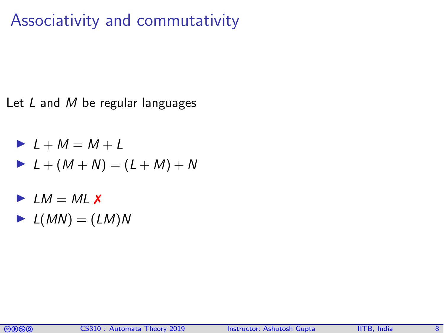## Associativity and commutativity

Let  $L$  and  $M$  be regular languages

$$
L + M = M + L
$$
  
\n
$$
L + (M + N) = (L + M) + N
$$

- $\blacktriangleright$  LM = ML  $\chi$
- $\blacktriangleright$   $L(MN) = (LM)N$

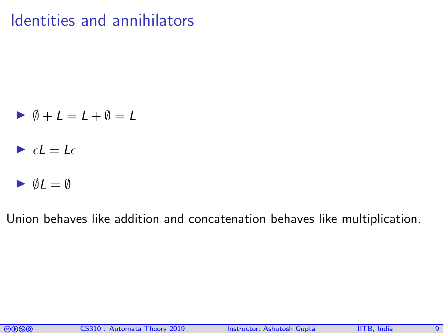## Identities and annihilators

$$
\blacktriangleright \emptyset + L = L + \emptyset = L
$$

- $\blacktriangleright$   $\epsilon l = l \epsilon$
- $\blacktriangleright$   $\emptyset L = \emptyset$

Union behaves like addition and concatenation behaves like multiplication.

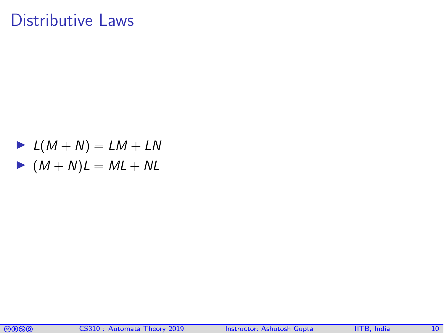#### Distributive Laws

$$
L(M+N) = LM + LN
$$
  
 
$$
M(M+N)L = ML + NL
$$

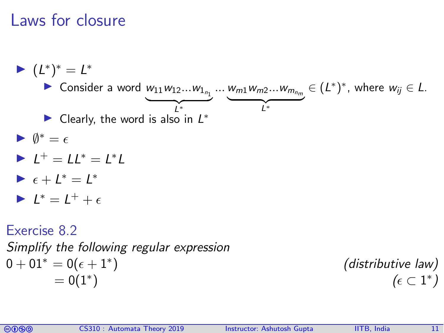### Laws for closure

 $= 0(1^*)$ 



$$
(\text{asimative law})
$$
  
)

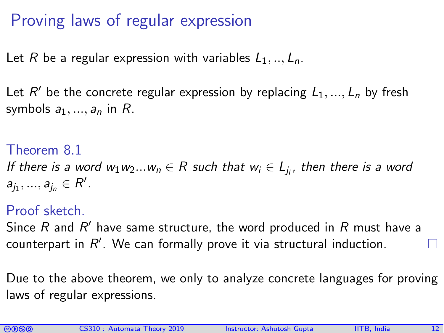### Proving laws of regular expression

Let R be a regular expression with variables  $L_1, ..., L_n$ .

Let  $R'$  be the concrete regular expression by replacing  $L_1, ..., L_n$  by fresh symbols  $a_1, ..., a_n$  in R.

Theorem 8.1 If there is a word  $w_1w_2...w_n\in R$  such that  $w_i\in L_{j_i}.$  then there is a word  $a_{j_1},..., a_{j_n} \in R'.$ 

#### Proof sketch.

Since  $R$  and  $R'$  have same structure, the word produced in  $R$  must have a counterpart in  $R'$ . We can formally prove it via structural induction.

Due to the above theorem, we only to analyze concrete languages for proving laws of regular expressions.

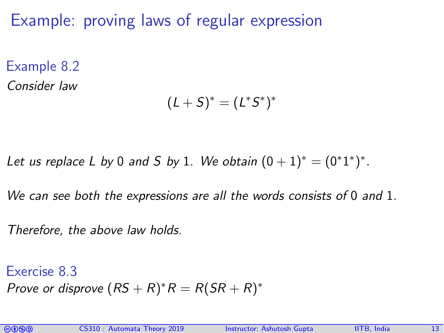Example: proving laws of regular expression

Example 8.2 Consider law

$$
(L+S)^*=(L^*S^*)^*
$$

Let us replace L by 0 and S by 1. We obtain  $(0 + 1)^* = (0^*1^*)^*$ .

We can see both the expressions are all the words consists of 0 and 1.

Therefore, the above law holds.

Exercise 8.3 Prove or disprove  $(RS + R)^*R = R(SR + R)^*$ 

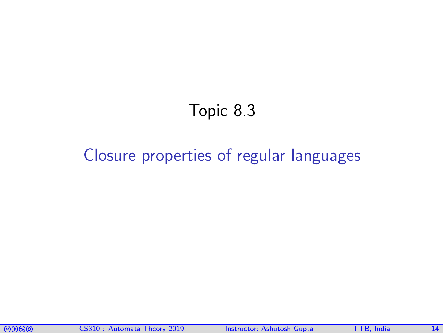## Topic 8.3

#### <span id="page-13-0"></span>[Closure properties of regular languages](#page-13-0)

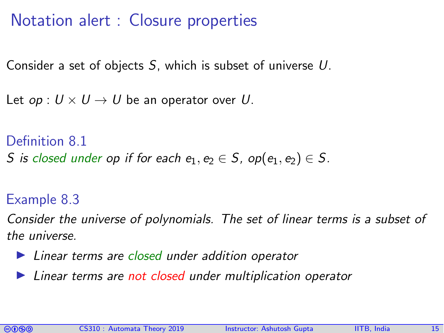## Notation alert : Closure properties

Consider a set of objects S, which is subset of universe U.

Let  $op: U \times U \rightarrow U$  be an operator over U.

Definition 8.1 S is closed under op if for each  $e_1, e_2 \in S$ , op( $e_1, e_2$ )  $\in S$ .

#### Example 8.3

Consider the universe of polynomials. The set of linear terms is a subset of the universe.

- $\blacktriangleright$  Linear terms are closed under addition operator
- $\blacktriangleright$  Linear terms are not closed under multiplication operator

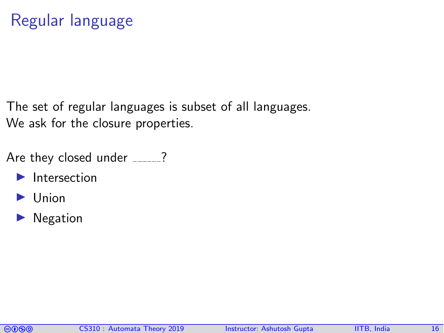The set of regular languages is subset of all languages. We ask for the closure properties.

Are they closed under  $\frac{2}{2}$ ?

- $\blacktriangleright$  Intersection
- $\blacktriangleright$  Union
- $\blacktriangleright$  Negation

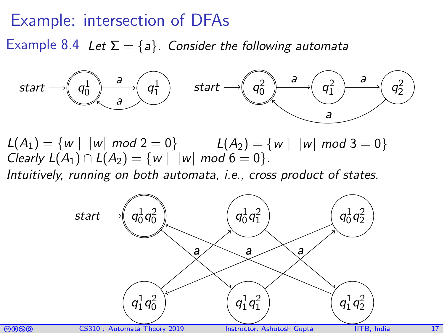#### Example: intersection of DFAs

Example 8.4 Let  $\Sigma = \{a\}$ . Consider the following automata



 $L(A_1) = \{ w \mid |w| \text{ mod } 2 = 0 \}$   $L(A_2) = \{ w \mid |w| \text{ mod } 3 = 0 \}$ *Clearly L(A<sub>1</sub>)* ∩ *L(A<sub>2</sub>)* = {w | |w| mod 6 = 0}.

Intuitively, running on both automata, i.e., cross product of states.

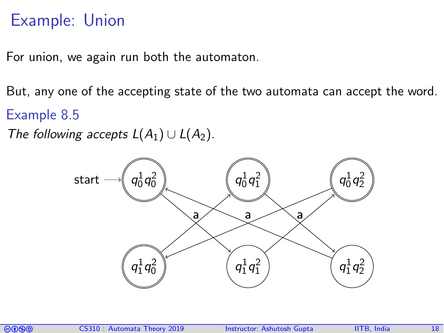## Example: Union

For union, we again run both the automaton.

But, any one of the accepting state of the two automata can accept the word. Example 8.5

The following accepts  $L(A_1) \cup L(A_2)$ .



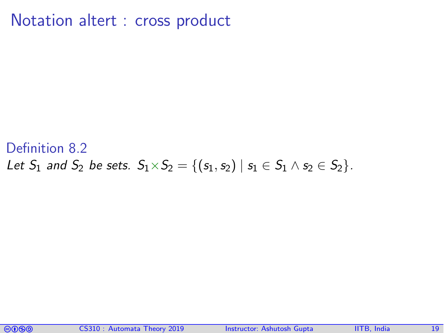Notation altert : cross product

#### Definition 8.2 Let  $S_1$  and  $S_2$  be sets.  $S_1 \times S_2 = \{(s_1, s_2) | s_1 \in S_1 \land s_2 \in S_2\}.$

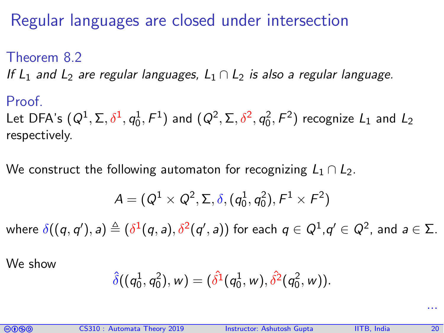## Regular languages are closed under intersection

## Theorem 8.2 If L<sub>1</sub> and L<sub>2</sub> are regular languages, L<sub>1</sub>  $\cap$  L<sub>2</sub> is also a regular language.

Proof. Let DFA's  $(Q^1, \Sigma, \delta^1, q_0^1, F^1)$  and  $(Q^2, \Sigma, \delta^2, q_0^2, F^2)$  recognize  $L_1$  and  $L_2$ respectively.

We construct the following automaton for recognizing  $L_1 \cap L_2$ .

$$
A=(Q^1\times Q^2,\Sigma,\delta,(q_0^1,q_0^2),F^1\times F^2)
$$

where  $\delta((q,q'),a)\triangleq(\delta^1(q,a),\delta^2(q',a))$  for each  $q\in Q^1, q'\in Q^2,$  and  $a\in\Sigma.$ 

We show

$$
\hat{\delta}((q_0^1,q_0^2),w)=(\hat{\delta^1}(q_0^1,w),\hat{\delta^2}(q_0^2,w)).
$$



...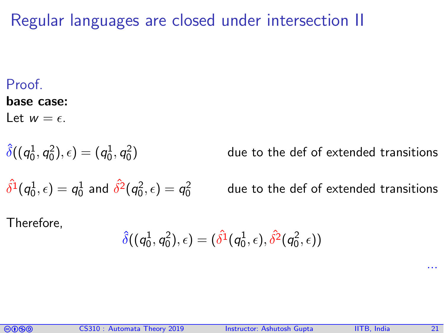Regular languages are closed under intersection II

#### **Proof**

#### base case:

Let  $w = \epsilon$ .

$$
\hat \delta((q_0^1,q_0^2),\epsilon)=(q_0^1,q_0^2)
$$

) due to the def of extended transitions

$$
\hat{\delta^1}(q_0^1,\epsilon)=q_0^1 \text{ and } \hat{\delta^2}(q_0^2,\epsilon)=q_0^2
$$

due to the def of extended transitions

Therefore,

$$
\hat\delta((q_0^1,q_0^2),\epsilon)=(\hat{\delta^1}(q_0^1,\epsilon),\hat{\delta^2}(q_0^2,\epsilon))
$$



...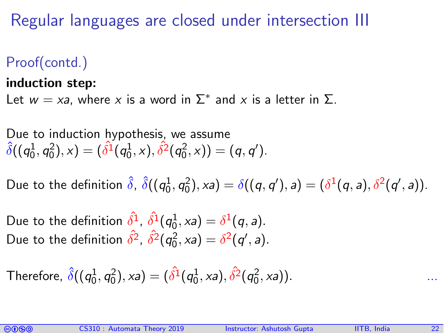Regular languages are closed under intersection III

Proof(contd.)

#### induction step:

Let  $w = xa$ , where x is a word in  $\Sigma^*$  and x is a letter in  $\Sigma$ .

Due to induction hypothesis, we assume  $\hat{\delta}((q_0^1,q_0^2),\times) = (\hat{\delta^1}(q_0^1,\times),\hat{\delta^2}(q_0^2,\times)) = (q,q').$ 

Due to the definition  $\hat{\delta}$ ,  $\hat{\delta}((q_0^1,q_0^2),\mathsf{x}a) = \delta((q,q'),a) = (\delta^1(q,a),\delta^2(q',a)).$ 

Due to the definition  $\hat{\delta^1}$ ,  $\hat{\delta^1}(q_0^1, xa) = \delta^1(q, a)$ . Due to the definition  $\hat{\delta}^2$ ,  $\hat{\delta}^2(q_0^2, xa) = \delta^2(q', a)$ .

Therefore,  $\hat{\delta}((q_0^1,q_0^2),xa) = (\hat{\delta^1}(q_0^1,xa), \hat{\delta^2}(q_0^2,xa)).$ 

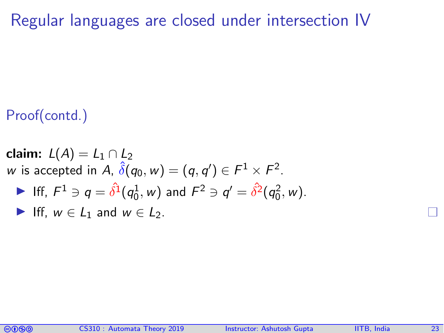Regular languages are closed under intersection IV

#### Proof(contd.)

claim:  $L(A) = L_1 \cap L_2$  $w$  is accepted in  $A$ ,  $\hat{\delta}(q_0,w)=(q,q')\in F^1\times F^2.$ Iff,  $F^1 \ni q = \hat{\delta}^1(q_0^1, w)$  and  $F^2 \ni q' = \hat{\delta}^2(q_0^2, w)$ . Iff,  $w \in L_1$  and  $w \in L_2$ .

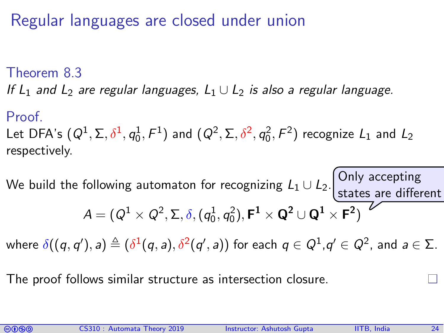#### Regular languages are closed under union

#### Theorem 8.3

If  $L_1$  and  $L_2$  are regular languages,  $L_1 \cup L_2$  is also a regular language.

#### Proof.

Let DFA's  $(Q^1, \Sigma, \delta^1, q_0^1, F^1)$  and  $(Q^2, \Sigma, \delta^2, q_0^2, F^2)$  recognize  $L_1$  and  $L_2$ respectively.

We build the following automaton for recognizing  $L_1 \cup L_2$ . Only accepting  $\mathcal{A} = (\mathcal{Q}^1 \times \mathcal{Q}^2, \Sigma, \delta, (q_0^1, q_0^2), \mathsf{F}^1 \times \mathsf{Q}^2 \cup \mathsf{Q}^1 \times \mathsf{F}^2)$ states are different

where  $\delta((q,q'),a)\triangleq(\delta^1(q,a),\delta^2(q',a))$  for each  $q\in Q^1, q'\in Q^2,$  and  $a\in\Sigma.$ 

The proof follows similar structure as intersection closure.

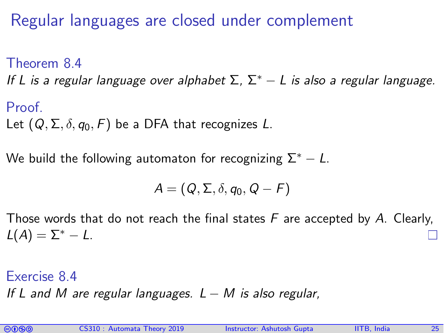Regular languages are closed under complement

Theorem 8.4

If L is a regular language over alphabet  $\Sigma$ ,  $\Sigma^* - L$  is also a regular language.

Proof. Let  $(Q, \Sigma, \delta, q_0, F)$  be a DFA that recognizes L.

We build the following automaton for recognizing  $\Sigma^* - L$ .

$$
A=(Q,\Sigma,\delta,q_0,Q-F)
$$

Those words that do not reach the final states  $F$  are accepted by A. Clearly,  $L(A) = \Sigma^* - L$ .

Exercise 8.4 If L and M are regular languages.  $L - M$  is also regular,

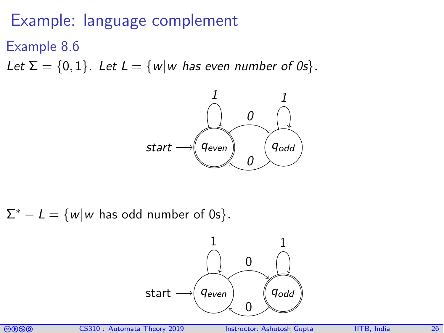#### Example: language complement

Example 8.6

Let  $\Sigma = \{0, 1\}$ . Let  $L = \{w | w$  has even number of 0s}.



 $\Sigma^* - L = \{w | w \text{ has odd number of 0s}\}.$